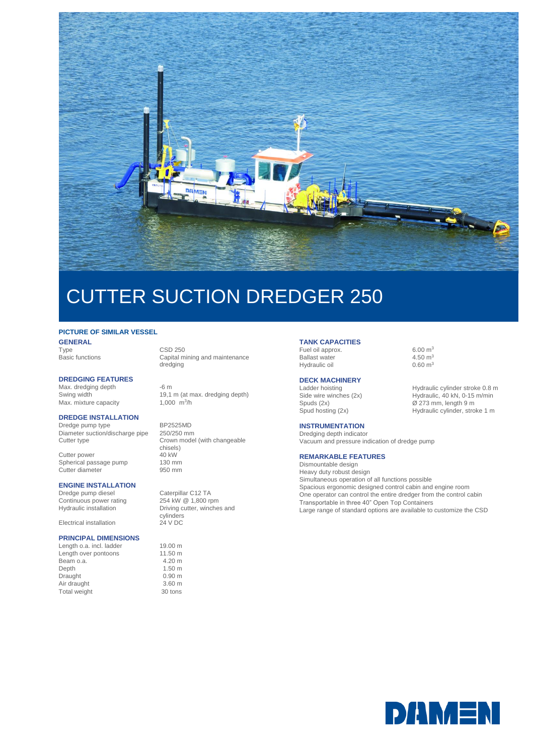

# CUTTER SUCTION DREDGER 250

## **PICTURE OF SIMILAR VESSEL**

**GENERAL**<br>Type Type CSD 250<br>Basic functions Capital m

### **DREDGING FEATURES**

Max. dredging depth -6 m<br>Swing width 19,1 Max. mixture capacity

#### **DREDGE INSTALLATION**

Dredge pump type BP2525MD<br>Diameter suction/discharge pipe 250/250 mm Diameter suction/discharge pipe Cutter type **Crown model** (with changeable

Cutter power<br>
Spherical passage pump<br>
130 mm Spherical passage pump 130 mm<br>Cutter diameter 950 mm Cutter diameter

### **ENGINE INSTALLATION**

Continuous power rating<br>Hydraulic installation

Electrical installation 24 V DC

#### **PRINCIPAL DIMENSIONS**

Length o.a. incl. ladder 19.00 m<br>
Length over pontoons 11.50 m Length over pontoons 11.50 m<br>Beam o.a. 4.20 m Beam o.a. Depth 1.50 m<br>Draught 0.90 m Draught 0.90 m<br>
Air draught 3.60 m Air draught 3.60 m<br>Total weight 30 tons Total weight

Capital mining and maintenance dredging

19,1 m (at max. dredging depth) 1,000  $\frac{m^3}{h}$ 

chisels)<br>40 kW

Dredge pump diesel Caterpillar C12 TA<br>
Continuous power rating 254 kW @ 1.800 rpm Hydraulic installation Driving cutter, winches and cylinders

#### **TANK CAPACITIES**

Fuel oil approx.<br>
Ballast water  $\frac{6.00 \text{ m}^3}{4.50 \text{ m}^3}$ Ballast water  $4.50 \text{ m}^3$ <br>Hydraulic oil  $0.60 \text{ m}^3$ Hydraulic oil

# **DECK MACHINERY**<br>Ladder hoisting

#### **INSTRUMENTATION**

Dredging depth indicator Vacuum and pressure indication of dredge pump

#### **REMARKABLE FEATURES**

Dismountable design Heavy duty robust design Simultaneous operation of all functions possible Spacious ergonomic designed control cabin and engine room One operator can control the entire dredger from the control cabin Transportable in three 40" Open Top Containers Large range of standard options are available to customize the CSD

Ladder hoisting Hydraulic cylinder stroke 0.8 m<br>
Side wire winches (2x) Hydraulic, 40 kN, 0-15 m/min Hydraulic, 40 kN, 0-15 m/min Spuds (2x)  $\oslash$  273 mm, length 9 m Spud hosting (2x) Hydraulic cylinder, stroke 1 m